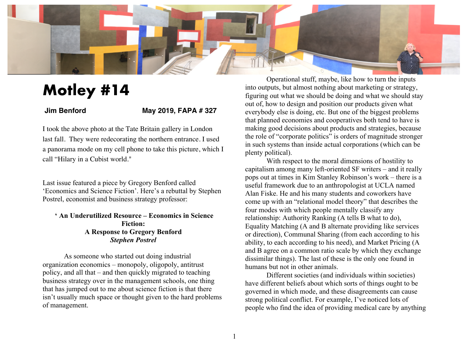

## **Motley #14**

## **Jim Benford May 2019, FAPA # 327**

I took the above photo at the Tate Britain gallery in London last fall. They were redecorating the northern entrance. I used a panorama mode on my cell phone to take this picture, which I call "Hilary in a Cubist world."

Last issue featured a piece by Gregory Benford called 'Economics and Science Fiction'. Here's a rebuttal by Stephen Postrel, economist and business strategy professor:

## **' An Underutilized Resource – Economics in Science Fiction: A Response to Gregory Benford** *Stephen Postrel*

As someone who started out doing industrial organization economics – monopoly, oligopoly, antitrust policy, and all that – and then quickly migrated to teaching business strategy over in the management schools, one thing that has jumped out to me about science fiction is that there isn't usually much space or thought given to the hard problems of management.

Operational stuff, maybe, like how to turn the inputs into outputs, but almost nothing about marketing or strategy, figuring out what we should be doing and what we should stay out of, how to design and position our products given what everybody else is doing, etc. But one of the biggest problems that planned economies and cooperatives both tend to have is making good decisions about products and strategies, because the role of "corporate politics" is orders of magnitude stronger in such systems than inside actual corporations (which can be plenty political).

With respect to the moral dimensions of hostility to capitalism among many left-oriented SF writers – and it really pops out at times in Kim Stanley Robinson's work – there is a useful framework due to an anthropologist at UCLA named Alan Fiske. He and his many students and coworkers have come up with an "relational model theory" that describes the four modes with which people mentally classify any relationship: Authority Ranking (A tells B what to do), Equality Matching (A and B alternate providing like services or direction), Communal Sharing (from each according to his ability, to each according to his need), and Market Pricing (A and B agree on a common ratio scale by which they exchange dissimilar things). The last of these is the only one found in humans but not in other animals.

Different societies (and individuals within societies) have different beliefs about which sorts of things ought to be governed in which mode, and these disagreements can cause strong political conflict. For example, I've noticed lots of people who find the idea of providing medical care by anything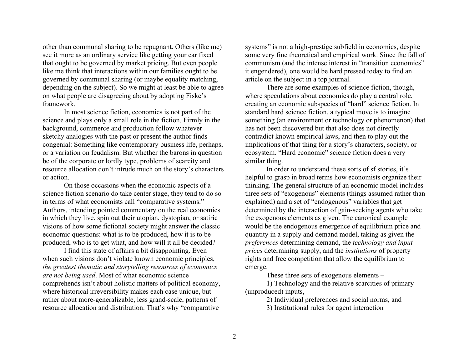other than communal sharing to be repugnant. Others (like me) see it more as an ordinary service like getting your car fixed that ought to be governed by market pricing. But even people like me think that interactions within our families ought to be governed by communal sharing (or maybe equality matching, depending on the subject). So we might at least be able to agree on what people are disagreeing about by adopting Fiske's framework.

In most science fiction, economics is not part of the science and plays only a small role in the fiction. Firmly in the background, commerce and production follow whatever sketchy analogies with the past or present the author finds congenial: Something like contemporary business life, perhaps, or a variation on feudalism. But whether the barons in question be of the corporate or lordly type, problems of scarcity and resource allocation don't intrude much on the story's characters or action.

On those occasions when the economic aspects of a science fiction scenario do take center stage, they tend to do so in terms of what economists call "comparative systems." Authors, intending pointed commentary on the real economies in which they live, spin out their utopian, dystopian, or satiric visions of how some fictional society might answer the classic economic questions: what is to be produced, how it is to be produced, who is to get what, and how will it all be decided?

I find this state of affairs a bit disappointing. Even when such visions don't violate known economic principles, *the greatest thematic and storytelling resources of economics are not being used*. Most of what economic science comprehends isn't about holistic matters of political economy, where historical irreversibility makes each case unique, but rather about more-generalizable, less grand-scale, patterns of resource allocation and distribution. That's why "comparative

systems" is not a high-prestige subfield in economics, despite some very fine theoretical and empirical work. Since the fall of communism (and the intense interest in "transition economies" it engendered), one would be hard pressed today to find an article on the subject in a top journal.

There are some examples of science fiction, though, where speculations about economics do play a central role, creating an economic subspecies of "hard" science fiction. In standard hard science fiction, a typical move is to imagine something (an environment or technology or phenomenon) that has not been discovered but that also does not directly contradict known empirical laws, and then to play out the implications of that thing for a story's characters, society, or ecosystem. "Hard economic" science fiction does a very similar thing.

In order to understand these sorts of sf stories, it's helpful to grasp in broad terms how economists organize their thinking. The general structure of an economic model includes three sets of "exogenous" elements (things assumed rather than explained) and a set of "endogenous" variables that get determined by the interaction of gain-seeking agents who take the exogenous elements as given. The canonical example would be the endogenous emergence of equilibrium price and quantity in a supply and demand model, taking as given the *preferences* determining demand, the *technology and input prices* determining supply, and the *institutions* of property rights and free competition that allow the equilibrium to emerge.

These three sets of exogenous elements –

1) Technology and the relative scarcities of primary (unproduced) inputs,

2) Individual preferences and social norms, and

3) Institutional rules for agent interaction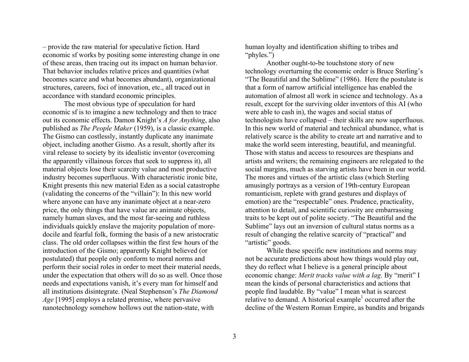– provide the raw material for speculative fiction. Hard economic sf works by positing some interesting change in one of these areas, then tracing out its impact on human behavior. That behavior includes relative prices and quantities (what becomes scarce and what becomes abundant), organizational structures, careers, foci of innovation, etc., all traced out in accordance with standard economic principles.

The most obvious type of speculation for hard economic sf is to imagine a new technology and then to trace out its economic effects. Damon Knight's *A for Anything*, also published as *The People Maker* (1959), is a classic example. The Gismo can costlessly, instantly duplicate any inanimate object, including another Gismo. As a result, shortly after its viral release to society by its idealistic inventor (overcoming the apparently villainous forces that seek to suppress it), all material objects lose their scarcity value and most productive industry becomes superfluous. With characteristic ironic bite, Knight presents this new material Eden as a social catastrophe (validating the concerns of the "villain"): In this new world where anyone can have any inanimate object at a near-zero price, the only things that have value are animate objects, namely human slaves, and the most far-seeing and ruthless individuals quickly enslave the majority population of moredocile and fearful folk, forming the basis of a new aristocratic class. The old order collapses within the first few hours of the introduction of the Gismo; apparently Knight believed (or postulated) that people only conform to moral norms and perform their social roles in order to meet their material needs, under the expectation that others will do so as well. Once those needs and expectations vanish, it's every man for himself and all institutions disintegrate. (Neal Stephenson's *The Diamond Age* [1995] employs a related premise, where pervasive nanotechnology somehow hollows out the nation-state, with

human loyalty and identification shifting to tribes and "phyles.")

Another ought-to-be touchstone story of new technology overturning the economic order is Bruce Sterling's "The Beautiful and the Sublime" (1986). Here the postulate is that a form of narrow artificial intelligence has enabled the automation of almost all work in science and technology. As a result, except for the surviving older inventors of this AI (who were able to cash in), the wages and social status of technologists have collapsed – their skills are now superfluous. In this new world of material and technical abundance, what is relatively scarce is the ability to create art and narrative and to make the world seem interesting, beautiful, and meaningful. Those with status and access to resources are thespians and artists and writers; the remaining engineers are relegated to the social margins, much as starving artists have been in our world. The mores and virtues of the artistic class (which Sterling amusingly portrays as a version of 19th-century European romanticism, replete with grand gestures and displays of emotion) are the "respectable" ones. Prudence, practicality, attention to detail, and scientific curiosity are embarrassing traits to be kept out of polite society. "The Beautiful and the Sublime" lays out an inversion of cultural status norms as a result of changing the relative scarcity of "practical" and "artistic" goods.

While these specific new institutions and norms may not be accurate predictions about how things would play out, they do reflect what I believe is a general principle about economic change: *Merit tracks value with a lag*. By "merit" I mean the kinds of personal characteristics and actions that people find laudable. By "value" I mean what is scarcest relative to demand. A historical example<sup>1</sup> occurred after the decline of the Western Roman Empire, as bandits and brigands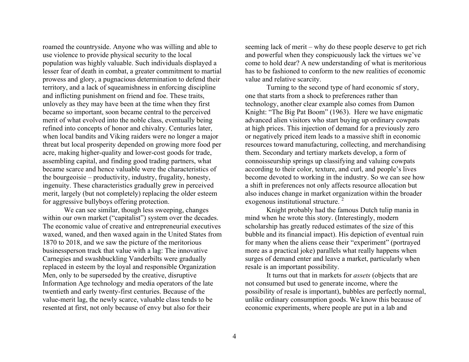roamed the countryside. Anyone who was willing and able to use violence to provide physical security to the local population was highly valuable. Such individuals displayed a lesser fear of death in combat, a greater commitment to martial prowess and glory, a pugnacious determination to defend their territory, and a lack of squeamishness in enforcing discipline and inflicting punishment on friend and foe. These traits, unlovely as they may have been at the time when they first became so important, soon became central to the perceived merit of what evolved into the noble class, eventually being refined into concepts of honor and chivalry. Centuries later, when local bandits and Viking raiders were no longer a major threat but local prosperity depended on growing more food per acre, making higher-quality and lower-cost goods for trade, assembling capital, and finding good trading partners, what became scarce and hence valuable were the characteristics of the bourgeoisie – productivity, industry, frugality, honesty, ingenuity. These characteristics gradually grew in perceived merit, largely (but not completely) replacing the older esteem for aggressive bullyboys offering protection.

We can see similar, though less sweeping, changes within our own market ("capitalist") system over the decades. The economic value of creative and entrepreneurial executives waxed, waned, and then waxed again in the United States from 1870 to 2018, and we saw the picture of the meritorious businessperson track that value with a lag: The innovative Carnegies and swashbuckling Vanderbilts were gradually replaced in esteem by the loyal and responsible Organization Men, only to be superseded by the creative, disruptive Information Age technology and media operators of the late twentieth and early twenty-first centuries. Because of the value-merit lag, the newly scarce, valuable class tends to be resented at first, not only because of envy but also for their

seeming lack of merit – why do these people deserve to get rich and powerful when they conspicuously lack the virtues we've come to hold dear? A new understanding of what is meritorious has to be fashioned to conform to the new realities of economic value and relative scarcity.

Turning to the second type of hard economic sf story, one that starts from a shock to preferences rather than technology, another clear example also comes from Damon Knight: "The Big Pat Boom" (1963). Here we have enigmatic advanced alien visitors who start buying up ordinary cowpats at high prices. This injection of demand for a previously zero or negatively priced item leads to a massive shift in economic resources toward manufacturing, collecting, and merchandising them. Secondary and tertiary markets develop, a form of connoisseurship springs up classifying and valuing cowpats according to their color, texture, and curl, and people's lives become devoted to working in the industry. So we can see how a shift in preferences not only affects resource allocation but also induces change in market organization within the broader exogenous institutional structure.<sup>2</sup>

Knight probably had the famous Dutch tulip mania in mind when he wrote this story. (Interestingly, modern scholarship has greatly reduced estimates of the size of this bubble and its financial impact). His depiction of eventual ruin for many when the aliens cease their "experiment" (portrayed more as a practical joke) parallels what really happens when surges of demand enter and leave a market, particularly when resale is an important possibility.

It turns out that in markets for *assets* (objects that are not consumed but used to generate income, where the possibility of resale is important), bubbles are perfectly normal, unlike ordinary consumption goods. We know this because of economic experiments, where people are put in a lab and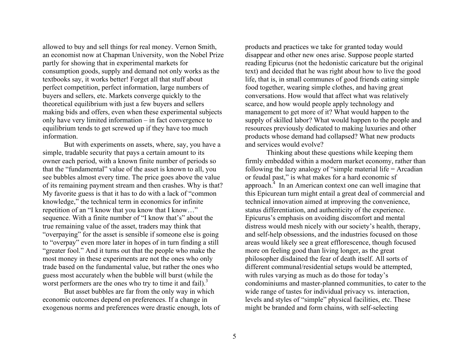allowed to buy and sell things for real money. Vernon Smith, an economist now at Chapman University, won the Nobel Prize partly for showing that in experimental markets for consumption goods, supply and demand not only works as the textbooks say, it works better! Forget all that stuff about perfect competition, perfect information, large numbers of buyers and sellers, etc. Markets converge quickly to the theoretical equilibrium with just a few buyers and sellers making bids and offers, even when these experimental subjects only have very limited information – in fact convergence to equilibrium tends to get screwed up if they have too much information.

But with experiments on assets, where, say, you have a simple, tradable security that pays a certain amount to its owner each period, with a known finite number of periods so that the "fundamental" value of the asset is known to all, you see bubbles almost every time. The price goes above the value of its remaining payment stream and then crashes. Why is that? My favorite guess is that it has to do with a lack of "common knowledge," the technical term in economics for infinite repetition of an "I know that you know that I know…" sequence. With a finite number of "I know that's" about the true remaining value of the asset, traders may think that "overpaying" for the asset is sensible if someone else is going to "overpay" even more later in hopes of in turn finding a still "greater fool." And it turns out that the people who make the most money in these experiments are not the ones who only trade based on the fundamental value, but rather the ones who guess most accurately when the bubble will burst (while the worst performers are the ones who try to time it and fail). $3$ 

But asset bubbles are far from the only way in which economic outcomes depend on preferences. If a change in exogenous norms and preferences were drastic enough, lots of

products and practices we take for granted today would disappear and other new ones arise. Suppose people started reading Epicurus (not the hedonistic caricature but the original text) and decided that he was right about how to live the good life, that is, in small communes of good friends eating simple food together, wearing simple clothes, and having great conversations. How would that affect what was relatively scarce, and how would people apply technology and management to get more of it? What would happen to the supply of skilled labor? What would happen to the people and resources previously dedicated to making luxuries and other products whose demand had collapsed? What new products and services would evolve?

Thinking about these questions while keeping them firmly embedded within a modern market economy, rather than following the lazy analogy of "simple material life = Arcadian or feudal past," is what makes for a hard economic sf approach. $4 \text{ In an American context one can well imagine that}$ this Epicurean turn might entail a great deal of commercial and technical innovation aimed at improving the convenience, status differentiation, and authenticity of the experience. Epicurus's emphasis on avoiding discomfort and mental distress would mesh nicely with our society's health, therapy, and self-help obsessions, and the industries focused on those areas would likely see a great efflorescence, though focused more on feeling good than living longer, as the great philosopher disdained the fear of death itself. All sorts of different communal/residential setups would be attempted, with rules varying as much as do those for today's condominiums and master-planned communities, to cater to the wide range of tastes for individual privacy vs. interaction, levels and styles of "simple" physical facilities, etc. These might be branded and form chains, with self-selecting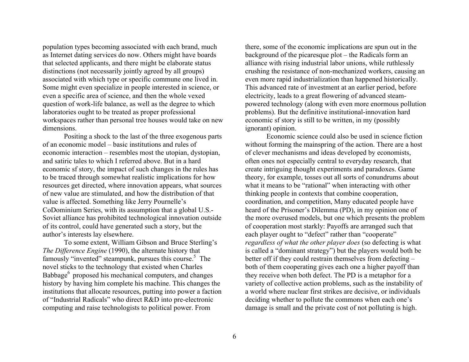population types becoming associated with each brand, much as Internet dating services do now. Others might have boards that selected applicants, and there might be elaborate status distinctions (not necessarily jointly agreed by all groups) associated with which type or specific commune one lived in. Some might even specialize in people interested in science, or even a specific area of science, and then the whole vexed question of work-life balance, as well as the degree to which laboratories ought to be treated as proper professional workspaces rather than personal tree houses would take on new dimensions.

Positing a shock to the last of the three exogenous parts of an economic model – basic institutions and rules of economic interaction – resembles most the utopian, dystopian, and satiric tales to which I referred above. But in a hard economic sf story, the impact of such changes in the rules has to be traced through somewhat realistic implications for how resources get directed, where innovation appears, what sources of new value are stimulated, and how the distribution of that value is affected. Something like Jerry Pournelle's CoDominium Series, with its assumption that a global U.S.- Soviet alliance has prohibited technological innovation outside of its control, could have generated such a story, but the author's interests lay elsewhere.

To some extent, William Gibson and Bruce Sterling's *The Difference Engine* (1990), the alternate history that famously "invented" steampunk, pursues this course.<sup>5</sup> The novel sticks to the technology that existed when Charles Babbage<sup>6</sup> proposed his mechanical computers, and changes history by having him complete his machine. This changes the institutions that allocate resources, putting into power a faction of "Industrial Radicals" who direct R&D into pre-electronic computing and raise technologists to political power. From

there, some of the economic implications are spun out in the background of the picaresque plot – the Radicals form an alliance with rising industrial labor unions, while ruthlessly crushing the resistance of non-mechanized workers, causing an even more rapid industrialization than happened historically. This advanced rate of investment at an earlier period, before electricity, leads to a great flowering of advanced steampowered technology (along with even more enormous pollution problems). But the definitive institutional-innovation hard economic sf story is still to be written, in my (possibly ignorant) opinion.

Economic science could also be used in science fiction without forming the mainspring of the action. There are a host of clever mechanisms and ideas developed by economists, often ones not especially central to everyday research, that create intriguing thought experiments and paradoxes. Game theory, for example, tosses out all sorts of conundrums about what it means to be "rational" when interacting with other thinking people in contexts that combine cooperation, coordination, and competition, Many educated people have heard of the Prisoner's Dilemma (PD), in my opinion one of the more overused models, but one which presents the problem of cooperation most starkly: Payoffs are arranged such that each player ought to "defect" rather than "cooperate" *regardless of what the other player does* (so defecting is what is called a "dominant strategy") but the players would both be better off if they could restrain themselves from defecting – both of them cooperating gives each one a higher payoff than they receive when both defect. The PD is a metaphor for a variety of collective action problems, such as the instability of a world where nuclear first strikes are decisive, or individuals deciding whether to pollute the commons when each one's damage is small and the private cost of not polluting is high.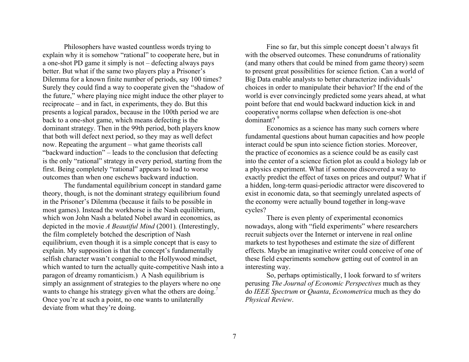Philosophers have wasted countless words trying to explain why it is somehow "rational" to cooperate here, but in a one-shot PD game it simply is not – defecting always pays better. But what if the same two players play a Prisoner's Dilemma for a known finite number of periods, say 100 times? Surely they could find a way to cooperate given the "shadow of the future," where playing nice might induce the other player to reciprocate – and in fact, in experiments, they do. But this presents a logical paradox, because in the 100th period we are back to a one-shot game, which means defecting is the dominant strategy. Then in the 99th period, both players know that both will defect next period, so they may as well defect now. Repeating the argument – what game theorists call "backward induction" – leads to the conclusion that defecting is the only "rational" strategy in every period, starting from the first. Being completely "rational" appears to lead to worse outcomes than when one eschews backward induction.

The fundamental equilibrium concept in standard game theory, though, is not the dominant strategy equilibrium found in the Prisoner's Dilemma (because it fails to be possible in most games). Instead the workhorse is the Nash equilibrium, which won John Nash a belated Nobel award in economics, as depicted in the movie *A Beautiful Mind* (2001)*.* (Interestingly, the film completely botched the description of Nash equilibrium, even though it is a simple concept that is easy to explain. My supposition is that the concept's fundamentally selfish character wasn't congenial to the Hollywood mindset, which wanted to turn the actually quite-competitive Nash into a paragon of dreamy romanticism.) A Nash equilibrium is simply an assignment of strategies to the players where no one wants to change his strategy given what the others are doing.<sup>7</sup> Once you're at such a point, no one wants to unilaterally deviate from what they're doing.

Fine so far, but this simple concept doesn't always fit with the observed outcomes. These conundrums of rationality (and many others that could be mined from game theory) seem to present great possibilities for science fiction. Can a world of Big Data enable analysts to better characterize individuals' choices in order to manipulate their behavior? If the end of the world is ever convincingly predicted some years ahead, at what point before that end would backward induction kick in and cooperative norms collapse when defection is one-shot dominant?<sup>9</sup>

Economics as a science has many such corners where fundamental questions about human capacities and how people interact could be spun into science fiction stories. Moreover, the practice of economics as a science could be as easily cast into the center of a science fiction plot as could a biology lab or a physics experiment. What if someone discovered a way to exactly predict the effect of taxes on prices and output? What if a hidden, long-term quasi-periodic attractor were discovered to exist in economic data, so that seemingly unrelated aspects of the economy were actually bound together in long-wave cycles?

There is even plenty of experimental economics nowadays, along with "field experiments" where researchers recruit subjects over the Internet or intervene in real online markets to test hypotheses and estimate the size of different effects. Maybe an imaginative writer could conceive of one of these field experiments somehow getting out of control in an interesting way.

So, perhaps optimistically, I look forward to sf writers perusing *The Journal of Economic Perspectives* much as they do *IEEE Spectrum* or *Quanta*, *Econometrica* much as they do *Physical Review*.